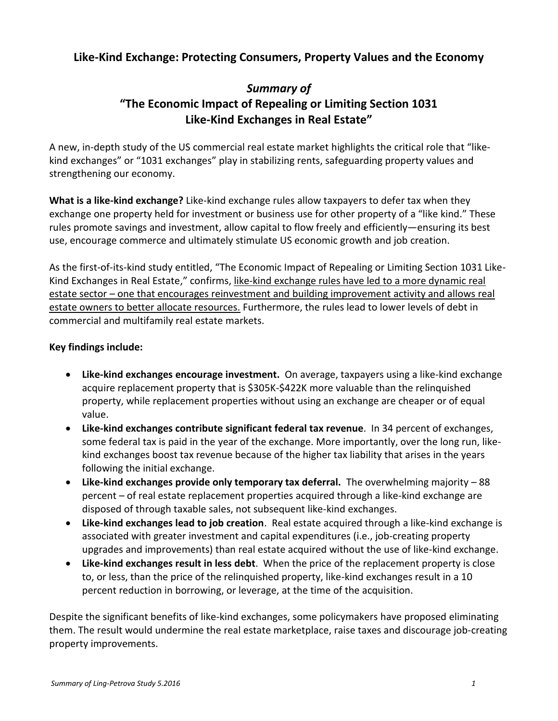## **Like-Kind Exchange: Protecting Consumers, Property Values and the Economy**

## *Summary of*  **"The Economic Impact of Repealing or Limiting Section 1031 Like-Kind Exchanges in Real Estate"**

A new, in-depth study of the US commercial real estate market highlights the critical role that "likekind exchanges" or "1031 exchanges" play in stabilizing rents, safeguarding property values and strengthening our economy.

**What is a like-kind exchange?** Like-kind exchange rules allow taxpayers to defer tax when they exchange one property held for investment or business use for other property of a "like kind." These rules promote savings and investment, allow capital to flow freely and efficiently—ensuring its best use, encourage commerce and ultimately stimulate US economic growth and job creation.

As the first-of-its-kind study entitled, "The Economic Impact of Repealing or Limiting Section 1031 Like-Kind Exchanges in Real Estate," confirms, like-kind exchange rules have led to a more dynamic real estate sector – one that encourages reinvestment and building improvement activity and allows real estate owners to better allocate resources. Furthermore, the rules lead to lower levels of debt in commercial and multifamily real estate markets.

## **Key findings include:**

- **Like-kind exchanges encourage investment.** On average, taxpayers using a like-kind exchange acquire replacement property that is \$305K-\$422K more valuable than the relinquished property, while replacement properties without using an exchange are cheaper or of equal value.
- **Like-kind exchanges contribute significant federal tax revenue**. In 34 percent of exchanges, some federal tax is paid in the year of the exchange. More importantly, over the long run, likekind exchanges boost tax revenue because of the higher tax liability that arises in the years following the initial exchange.
- **Like-kind exchanges provide only temporary tax deferral.** The overwhelming majority 88 percent – of real estate replacement properties acquired through a like-kind exchange are disposed of through taxable sales, not subsequent like-kind exchanges.
- **Like-kind exchanges lead to job creation**. Real estate acquired through a like-kind exchange is associated with greater investment and capital expenditures (i.e., job-creating property upgrades and improvements) than real estate acquired without the use of like-kind exchange.
- **Like-kind exchanges result in less debt**. When the price of the replacement property is close to, or less, than the price of the relinquished property, like-kind exchanges result in a 10 percent reduction in borrowing, or leverage, at the time of the acquisition.

Despite the significant benefits of like-kind exchanges, some policymakers have proposed eliminating them. The result would undermine the real estate marketplace, raise taxes and discourage job-creating property improvements.